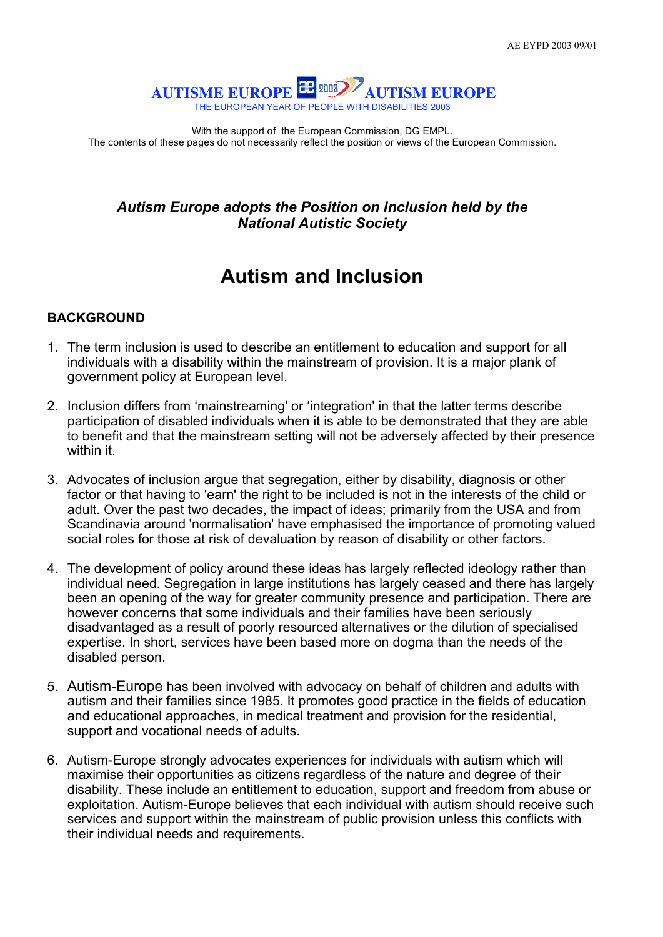

With the support of the European Commission, DG EMPL. The contents of these pages do not necessarily reflect the position or views of the European Commission.

## *Autism Europe adopts the Position on Inclusion held by the National Autistic Society*

## **Autism and Inclusion**

## **BACKGROUND**

- 1. The term inclusion is used to describe an entitlement to education and support for all individuals with a disability within the mainstream of provision. It is a major plank of government policy at European level.
- 2. Inclusion differs from 'mainstreaming' or 'integration' in that the latter terms describe participation of disabled individuals when it is able to be demonstrated that they are able to benefit and that the mainstream setting will not be adversely affected by their presence within it.
- 3. Advocates of inclusion argue that segregation, either by disability, diagnosis or other factor or that having to 'earn' the right to be included is not in the interests of the child or adult. Over the past two decades, the impact of ideas; primarily from the USA and from Scandinavia around 'normalisation' have emphasised the importance of promoting valued social roles for those at risk of devaluation by reason of disability or other factors.
- 4. The development of policy around these ideas has largely reflected ideology rather than individual need. Segregation in large institutions has largely ceased and there has largely been an opening of the way for greater community presence and participation. There are however concerns that some individuals and their families have been seriously disadvantaged as a result of poorly resourced alternatives or the dilution of specialised expertise. In short, services have been based more on dogma than the needs of the disabled person.
- 5. Autism-Europe has been involved with advocacy on behalf of children and adults with autism and their families since 1985. It promotes good practice in the fields of education and educational approaches, in medical treatment and provision for the residential, support and vocational needs of adults.
- 6. Autism-Europe strongly advocates experiences for individuals with autism which will maximise their opportunities as citizens regardless of the nature and degree of their disability. These include an entitlement to education, support and freedom from abuse or exploitation. Autism-Europe believes that each individual with autism should receive such services and support within the mainstream of public provision unless this conflicts with their individual needs and requirements.